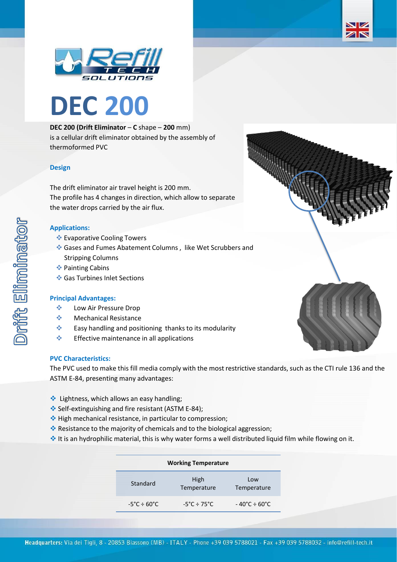



# **DEC 200 (Drift Eliminator** – **C** shape – **200** mm)

is a cellular drift eliminator obtained by the assembly of thermoformed PVC

# **Design**

The drift eliminator air travel height is 200 mm. The profile has 4 changes in direction, which allow to separate the water drops carried by the air flux.

# **Applications:**

- ❖ Evaporative Cooling Towers
- ❖ Gases and Fumes Abatement Columns , like Wet Scrubbers and Stripping Columns
- ❖ Painting Cabins
- ❖ Gas Turbines Inlet Sections

### **Principal Advantages:**

- ❖ Low Air Pressure Drop
- ❖ Mechanical Resistance
- ❖ Easy handling and positioning thanks to its modularity
- ❖ Effective maintenance in all applications

#### **PVC Characteristics:**

The PVC used to make this fill media comply with the most restrictive standards, such as the CTI rule 136 and the ASTM E-84, presenting many advantages:

- ❖ Lightness, which allows an easy handling;
- ❖ Self-extinguishing and fire resistant (ASTM E-84);
- ❖ High mechanical resistance, in particular to compression;
- ❖ Resistance to the majority of chemicals and to the biological aggression;
- ❖ It is an hydrophilic material, this is why water forms a well distributed liquid film while flowing on it.

| <b>Working Temperature</b>       |                                  |                             |  |  |
|----------------------------------|----------------------------------|-----------------------------|--|--|
| Standard                         | High<br>Temperature              | Low<br>Temperature          |  |  |
| $-5^{\circ}$ C ÷ 60 $^{\circ}$ C | $-5^{\circ}$ C ÷ 75 $^{\circ}$ C | $-40^{\circ}$ C $\div$ 60°C |  |  |



ZN